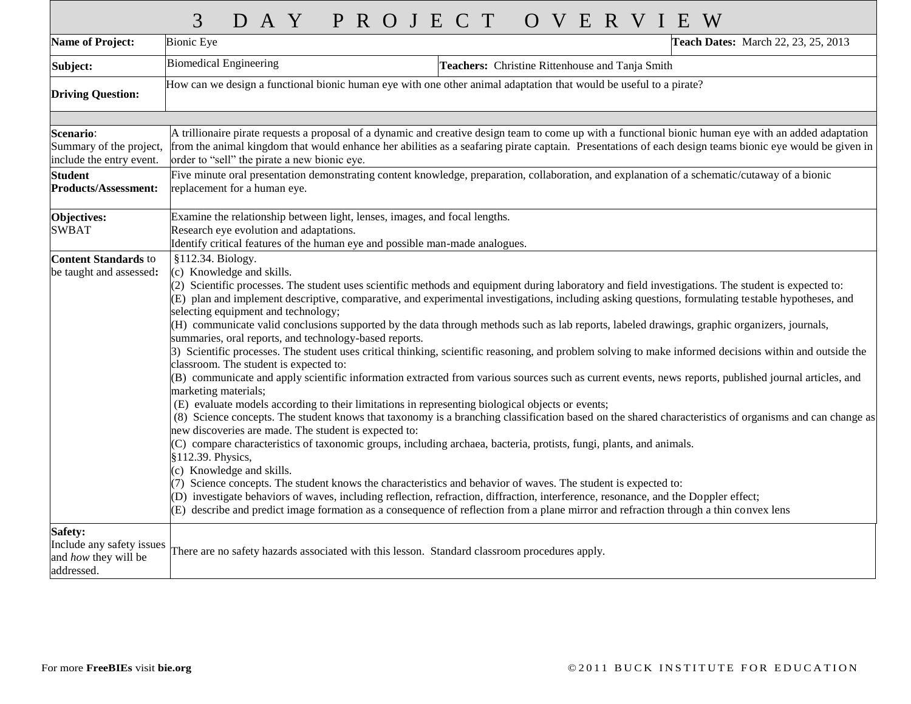|                                                                                                                          | 3<br>DAY PROJECT<br>OVERVIEW                                                                                                                                                                                                                                                                                                                                                                                                                                                                                                                                                                                                                                                                                                                                                                                                                                                                                                                                                                                                                                                                                                                                                                                                                                                                                                                                                                                                                                                                                                                                                                                                                                                                                                                                                                                                                                                                                                                                                          |  |  |  |  |  |  |
|--------------------------------------------------------------------------------------------------------------------------|---------------------------------------------------------------------------------------------------------------------------------------------------------------------------------------------------------------------------------------------------------------------------------------------------------------------------------------------------------------------------------------------------------------------------------------------------------------------------------------------------------------------------------------------------------------------------------------------------------------------------------------------------------------------------------------------------------------------------------------------------------------------------------------------------------------------------------------------------------------------------------------------------------------------------------------------------------------------------------------------------------------------------------------------------------------------------------------------------------------------------------------------------------------------------------------------------------------------------------------------------------------------------------------------------------------------------------------------------------------------------------------------------------------------------------------------------------------------------------------------------------------------------------------------------------------------------------------------------------------------------------------------------------------------------------------------------------------------------------------------------------------------------------------------------------------------------------------------------------------------------------------------------------------------------------------------------------------------------------------|--|--|--|--|--|--|
| <b>Name of Project:</b>                                                                                                  | Teach Dates: March 22, 23, 25, 2013<br><b>Bionic Eye</b>                                                                                                                                                                                                                                                                                                                                                                                                                                                                                                                                                                                                                                                                                                                                                                                                                                                                                                                                                                                                                                                                                                                                                                                                                                                                                                                                                                                                                                                                                                                                                                                                                                                                                                                                                                                                                                                                                                                              |  |  |  |  |  |  |
| Subject:                                                                                                                 | <b>Biomedical Engineering</b><br>Teachers: Christine Rittenhouse and Tanja Smith                                                                                                                                                                                                                                                                                                                                                                                                                                                                                                                                                                                                                                                                                                                                                                                                                                                                                                                                                                                                                                                                                                                                                                                                                                                                                                                                                                                                                                                                                                                                                                                                                                                                                                                                                                                                                                                                                                      |  |  |  |  |  |  |
| <b>Driving Question:</b>                                                                                                 | How can we design a functional bionic human eye with one other animal adaptation that would be useful to a pirate?                                                                                                                                                                                                                                                                                                                                                                                                                                                                                                                                                                                                                                                                                                                                                                                                                                                                                                                                                                                                                                                                                                                                                                                                                                                                                                                                                                                                                                                                                                                                                                                                                                                                                                                                                                                                                                                                    |  |  |  |  |  |  |
| <b>Scenario:</b><br>Summary of the project,<br>include the entry event.<br><b>Student</b><br><b>Products/Assessment:</b> | A trillionaire pirate requests a proposal of a dynamic and creative design team to come up with a functional bionic human eye with an added adaptation<br>from the animal kingdom that would enhance her abilities as a seafaring pirate captain. Presentations of each design teams bionic eye would be given in<br>order to "sell" the pirate a new bionic eye.<br>Five minute oral presentation demonstrating content knowledge, preparation, collaboration, and explanation of a schematic/cutaway of a bionic<br>replacement for a human eye.                                                                                                                                                                                                                                                                                                                                                                                                                                                                                                                                                                                                                                                                                                                                                                                                                                                                                                                                                                                                                                                                                                                                                                                                                                                                                                                                                                                                                                    |  |  |  |  |  |  |
| Objectives:<br><b>SWBAT</b>                                                                                              | Examine the relationship between light, lenses, images, and focal lengths.<br>Research eye evolution and adaptations.                                                                                                                                                                                                                                                                                                                                                                                                                                                                                                                                                                                                                                                                                                                                                                                                                                                                                                                                                                                                                                                                                                                                                                                                                                                                                                                                                                                                                                                                                                                                                                                                                                                                                                                                                                                                                                                                 |  |  |  |  |  |  |
| <b>Content Standards to</b><br>be taught and assessed:                                                                   | Identify critical features of the human eye and possible man-made analogues.<br>§112.34. Biology.<br>(c) Knowledge and skills.<br>(2) Scientific processes. The student uses scientific methods and equipment during laboratory and field investigations. The student is expected to:<br>(E) plan and implement descriptive, comparative, and experimental investigations, including asking questions, formulating testable hypotheses, and<br>selecting equipment and technology;<br>(H) communicate valid conclusions supported by the data through methods such as lab reports, labeled drawings, graphic organizers, journals,<br>summaries, oral reports, and technology-based reports.<br>3) Scientific processes. The student uses critical thinking, scientific reasoning, and problem solving to make informed decisions within and outside the<br>classroom. The student is expected to:<br>(B) communicate and apply scientific information extracted from various sources such as current events, news reports, published journal articles, and<br>marketing materials;<br>(E) evaluate models according to their limitations in representing biological objects or events;<br>(8) Science concepts. The student knows that taxonomy is a branching classification based on the shared characteristics of organisms and can change as<br>new discoveries are made. The student is expected to:<br>(C) compare characteristics of taxonomic groups, including archaea, bacteria, protists, fungi, plants, and animals.<br>§112.39. Physics,<br>(c) Knowledge and skills.<br>(7) Science concepts. The student knows the characteristics and behavior of waves. The student is expected to:<br>(D) investigate behaviors of waves, including reflection, refraction, diffraction, interference, resonance, and the Doppler effect;<br>(E) describe and predict image formation as a consequence of reflection from a plane mirror and refraction through a thin convex lens |  |  |  |  |  |  |
| <b>Safety:</b><br>Include any safety issues<br>and how they will be<br>addressed.                                        | There are no safety hazards associated with this lesson. Standard classroom procedures apply.                                                                                                                                                                                                                                                                                                                                                                                                                                                                                                                                                                                                                                                                                                                                                                                                                                                                                                                                                                                                                                                                                                                                                                                                                                                                                                                                                                                                                                                                                                                                                                                                                                                                                                                                                                                                                                                                                         |  |  |  |  |  |  |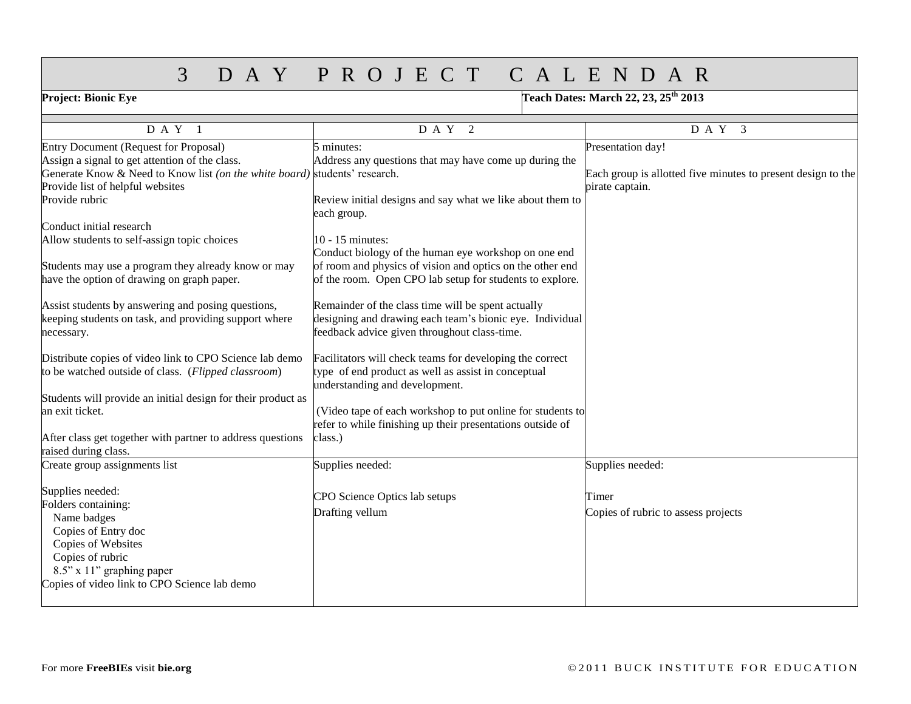## 3 D A Y P R O J E C T C A L E N D A R

| Project: Bionic Eye                                                                                                                                                   | Teach Dates: March 22, 23, 25 <sup>th</sup> 2013                                                                                                               |                                                                                   |  |  |
|-----------------------------------------------------------------------------------------------------------------------------------------------------------------------|----------------------------------------------------------------------------------------------------------------------------------------------------------------|-----------------------------------------------------------------------------------|--|--|
| D A Y 1                                                                                                                                                               | D A Y 2                                                                                                                                                        | $D A Y$ <sup>3</sup>                                                              |  |  |
| Entry Document (Request for Proposal)<br>Assign a signal to get attention of the class.<br>Generate Know & Need to Know list (on the white board) students' research. | 5 minutes:<br>Address any questions that may have come up during the                                                                                           | Presentation day!<br>Each group is allotted five minutes to present design to the |  |  |
| Provide list of helpful websites<br>Provide rubric                                                                                                                    | Review initial designs and say what we like about them to<br>each group.                                                                                       | pirate captain.                                                                   |  |  |
| Conduct initial research<br>Allow students to self-assign topic choices                                                                                               | 10 - 15 minutes:<br>Conduct biology of the human eye workshop on one end                                                                                       |                                                                                   |  |  |
| Students may use a program they already know or may<br>have the option of drawing on graph paper.                                                                     | of room and physics of vision and optics on the other end<br>of the room. Open CPO lab setup for students to explore.                                          |                                                                                   |  |  |
| Assist students by answering and posing questions,<br>keeping students on task, and providing support where<br>necessary.                                             | Remainder of the class time will be spent actually<br>designing and drawing each team's bionic eye. Individual<br>feedback advice given throughout class-time. |                                                                                   |  |  |
| Distribute copies of video link to CPO Science lab demo<br>to be watched outside of class. (Flipped classroom)                                                        | Facilitators will check teams for developing the correct<br>type of end product as well as assist in conceptual<br>understanding and development.              |                                                                                   |  |  |
| Students will provide an initial design for their product as<br>an exit ticket.                                                                                       | (Video tape of each workshop to put online for students to<br>refer to while finishing up their presentations outside of                                       |                                                                                   |  |  |
| After class get together with partner to address questions<br>raised during class.                                                                                    | class.)                                                                                                                                                        |                                                                                   |  |  |
| Create group assignments list                                                                                                                                         | Supplies needed:                                                                                                                                               | Supplies needed:                                                                  |  |  |
| Supplies needed:<br>Folders containing:                                                                                                                               | CPO Science Optics lab setups                                                                                                                                  | Timer                                                                             |  |  |
| Name badges<br>Copies of Entry doc<br>Copies of Websites<br>Copies of rubric<br>8.5" x 11" graphing paper<br>Copies of video link to CPO Science lab demo             | Drafting vellum                                                                                                                                                | Copies of rubric to assess projects                                               |  |  |
|                                                                                                                                                                       |                                                                                                                                                                |                                                                                   |  |  |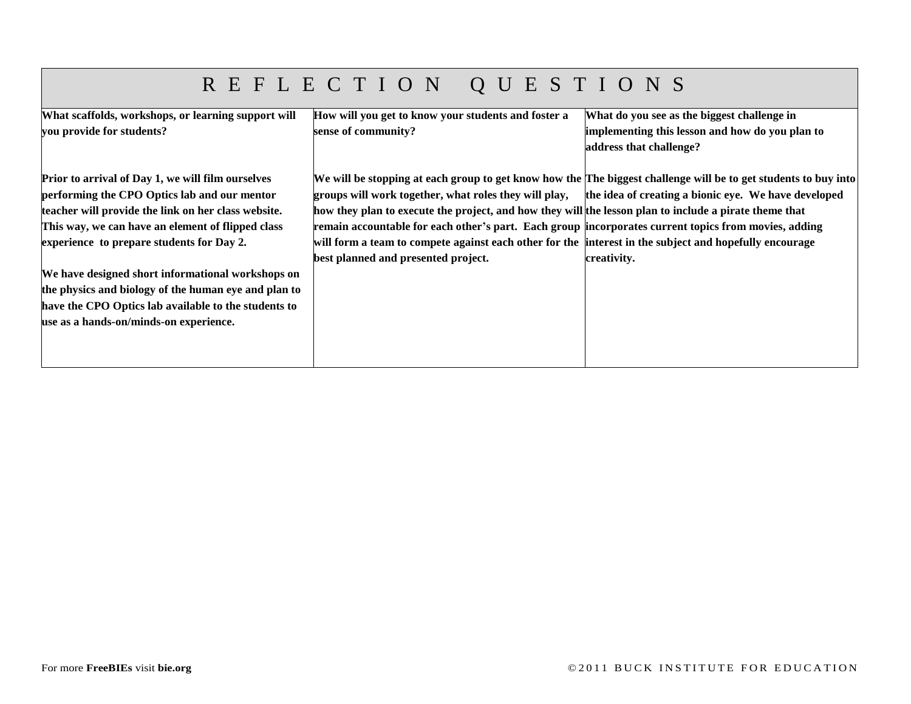# R E F L E C T I O N Q U E S T I O N S

| What scaffolds, workshops, or learning support will  | How will you get to know your students and foster a                                                    | What do you see as the biggest challenge in                                                                     |
|------------------------------------------------------|--------------------------------------------------------------------------------------------------------|-----------------------------------------------------------------------------------------------------------------|
| you provide for students?                            | sense of community?                                                                                    | implementing this lesson and how do you plan to                                                                 |
|                                                      |                                                                                                        | address that challenge?                                                                                         |
|                                                      |                                                                                                        |                                                                                                                 |
| Prior to arrival of Day 1, we will film ourselves    |                                                                                                        | We will be stopping at each group to get know how the The biggest challenge will be to get students to buy into |
| performing the CPO Optics lab and our mentor         | groups will work together, what roles they will play,                                                  | the idea of creating a bionic eye. We have developed                                                            |
| teacher will provide the link on her class website.  | how they plan to execute the project, and how they will the lesson plan to include a pirate theme that |                                                                                                                 |
| This way, we can have an element of flipped class    | remain accountable for each other's part. Each group incorporates current topics from movies, adding   |                                                                                                                 |
| experience to prepare students for Day 2.            | will form a team to compete against each other for the interest in the subject and hopefully encourage |                                                                                                                 |
|                                                      | best planned and presented project.                                                                    | creativity.                                                                                                     |
| We have designed short informational workshops on    |                                                                                                        |                                                                                                                 |
| the physics and biology of the human eye and plan to |                                                                                                        |                                                                                                                 |
| have the CPO Optics lab available to the students to |                                                                                                        |                                                                                                                 |
| use as a hands-on/minds-on experience.               |                                                                                                        |                                                                                                                 |
|                                                      |                                                                                                        |                                                                                                                 |
|                                                      |                                                                                                        |                                                                                                                 |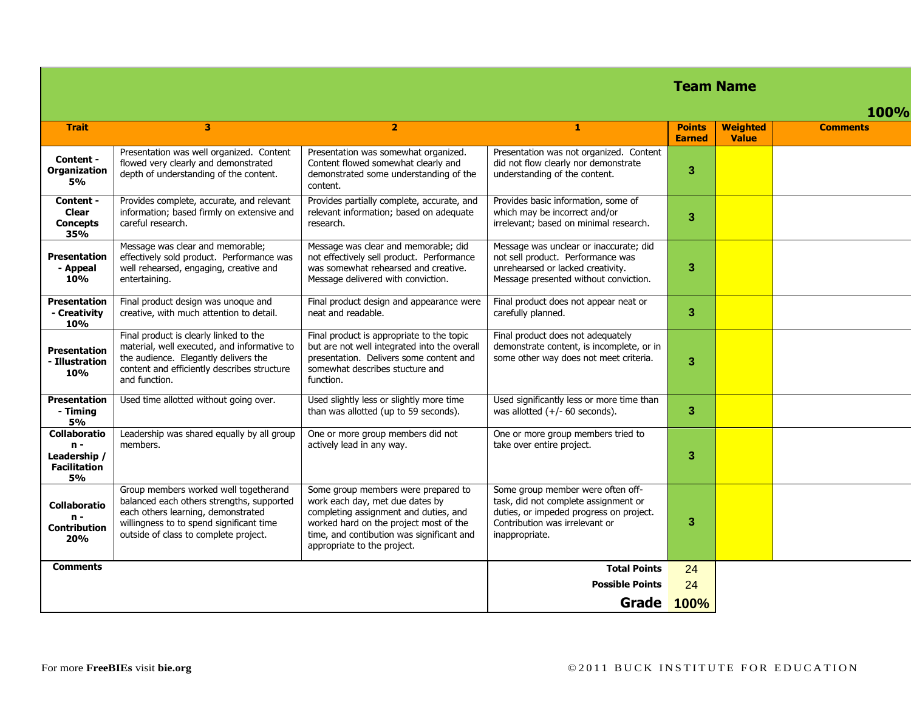|                                                                    |                                                                                                                                                                                                               |                                                                                                                                                                                                                                       |                                                                                                                                                                          |                                |                                 | <b>Team Name</b> |  |  |
|--------------------------------------------------------------------|---------------------------------------------------------------------------------------------------------------------------------------------------------------------------------------------------------------|---------------------------------------------------------------------------------------------------------------------------------------------------------------------------------------------------------------------------------------|--------------------------------------------------------------------------------------------------------------------------------------------------------------------------|--------------------------------|---------------------------------|------------------|--|--|
|                                                                    |                                                                                                                                                                                                               |                                                                                                                                                                                                                                       |                                                                                                                                                                          |                                |                                 | <b>100%</b>      |  |  |
| <b>Trait</b>                                                       | 3                                                                                                                                                                                                             | $\overline{2}$                                                                                                                                                                                                                        | 1                                                                                                                                                                        | <b>Points</b><br><b>Earned</b> | <b>Weighted</b><br><b>Value</b> | <b>Comments</b>  |  |  |
| Content -<br><b>Organization</b><br><b>5%</b>                      | Presentation was well organized. Content<br>flowed very clearly and demonstrated<br>depth of understanding of the content.                                                                                    | Presentation was somewhat organized.<br>Content flowed somewhat clearly and<br>demonstrated some understanding of the<br>content.                                                                                                     | Presentation was not organized. Content<br>did not flow clearly nor demonstrate<br>understanding of the content.                                                         | 3                              |                                 |                  |  |  |
| Content -<br><b>Clear</b><br><b>Concepts</b><br>35%                | Provides complete, accurate, and relevant<br>information; based firmly on extensive and<br>careful research.                                                                                                  | Provides partially complete, accurate, and<br>relevant information; based on adequate<br>research.                                                                                                                                    | Provides basic information, some of<br>which may be incorrect and/or<br>irrelevant; based on minimal research.                                                           | 3                              |                                 |                  |  |  |
| <b>Presentation</b><br>- Appeal<br>10%                             | Message was clear and memorable;<br>effectively sold product. Performance was<br>well rehearsed, engaging, creative and<br>entertaining.                                                                      | Message was clear and memorable; did<br>not effectively sell product. Performance<br>was somewhat rehearsed and creative.<br>Message delivered with conviction.                                                                       | Message was unclear or inaccurate; did<br>not sell product. Performance was<br>unrehearsed or lacked creativity.<br>Message presented without conviction.                | 3                              |                                 |                  |  |  |
| <b>Presentation</b><br>- Creativity<br><b>10%</b>                  | Final product design was unoque and<br>creative, with much attention to detail.                                                                                                                               | Final product design and appearance were<br>neat and readable.                                                                                                                                                                        | Final product does not appear neat or<br>carefully planned.                                                                                                              | 3                              |                                 |                  |  |  |
| Presentation<br>- Illustration<br>10%                              | Final product is clearly linked to the<br>material, well executed, and informative to<br>the audience. Elegantly delivers the<br>content and efficiently describes structure<br>and function.                 | Final product is appropriate to the topic<br>but are not well integrated into the overall<br>presentation. Delivers some content and<br>somewhat describes stucture and<br>function.                                                  | Final product does not adequately<br>demonstrate content, is incomplete, or in<br>some other way does not meet criteria.                                                 | 3                              |                                 |                  |  |  |
| <b>Presentation</b><br>- Timing<br><b>5%</b>                       | Used time allotted without going over.                                                                                                                                                                        | Used slightly less or slightly more time<br>than was allotted (up to 59 seconds).                                                                                                                                                     | Used significantly less or more time than<br>was allotted $(+/- 60$ seconds).                                                                                            | 3                              |                                 |                  |  |  |
| Collaboratio<br>$n -$<br>Leadership /<br><b>Facilitation</b><br>5% | Leadership was shared equally by all group<br>members.                                                                                                                                                        | One or more group members did not<br>actively lead in any way.                                                                                                                                                                        | One or more group members tried to<br>take over entire project.                                                                                                          | 3                              |                                 |                  |  |  |
| Collaboratio<br>$n -$<br><b>Contribution</b><br>20%                | Group members worked well togetherand<br>balanced each others strengths, supported<br>each others learning, demonstrated<br>willingness to to spend significant time<br>outside of class to complete project. | Some group members were prepared to<br>work each day, met due dates by<br>completing assignment and duties, and<br>worked hard on the project most of the<br>time, and contibution was significant and<br>appropriate to the project. | Some group member were often off-<br>task, did not complete assignment or<br>duties, or impeded progress on project.<br>Contribution was irrelevant or<br>inappropriate. | 3                              |                                 |                  |  |  |
| <b>Comments</b>                                                    |                                                                                                                                                                                                               |                                                                                                                                                                                                                                       | <b>Total Points</b>                                                                                                                                                      | 24                             |                                 |                  |  |  |
|                                                                    |                                                                                                                                                                                                               |                                                                                                                                                                                                                                       | <b>Possible Points</b>                                                                                                                                                   | 24                             |                                 |                  |  |  |

**Grade 100%**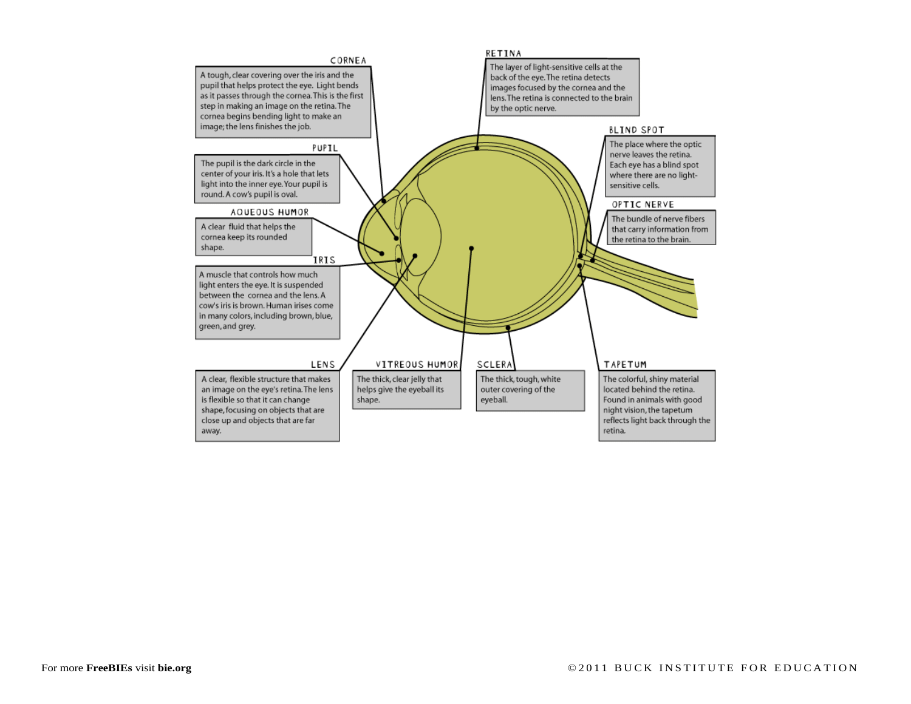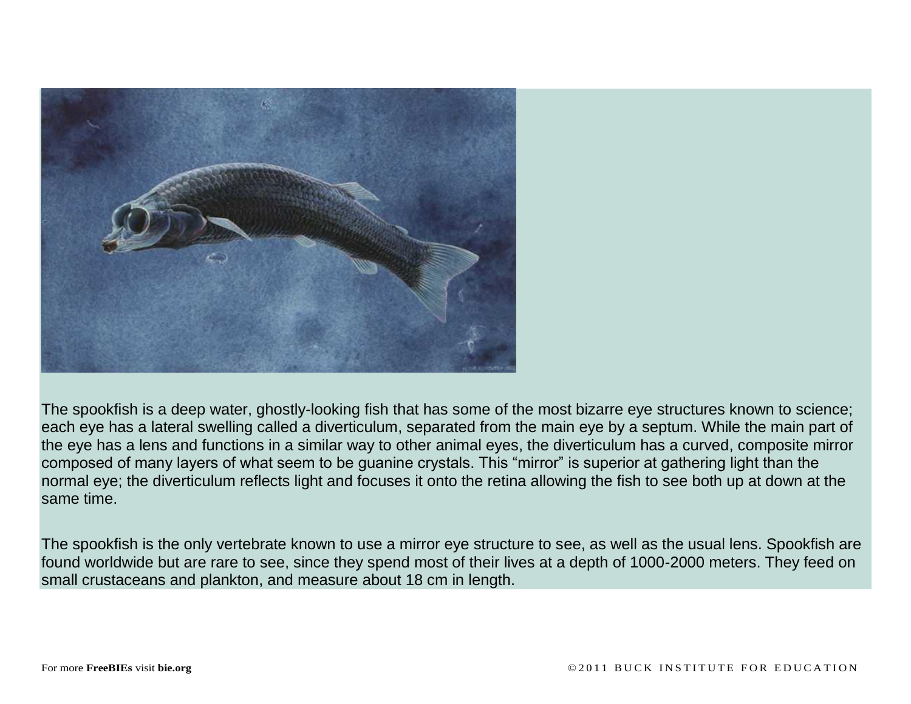

The spookfish is a deep water, ghostly-looking fish that has some of the most bizarre eye structures known to science; each eye has a lateral swelling called a diverticulum, separated from the main eye by a septum. While the main part of the eye has a lens and functions in a similar way to other animal eyes, the diverticulum has a curved, composite mirror composed of many layers of what seem to be guanine crystals. This "mirror" is superior at gathering light than the normal eye; the diverticulum reflects light and focuses it onto the retina allowing the fish to see both up at down at the same time.

The spookfish is the only vertebrate known to use a mirror eye structure to see, as well as the usual lens. Spookfish are found worldwide but are rare to see, since they spend most of their lives at a depth of 1000-2000 meters. They feed on small crustaceans and plankton, and measure about 18 cm in length.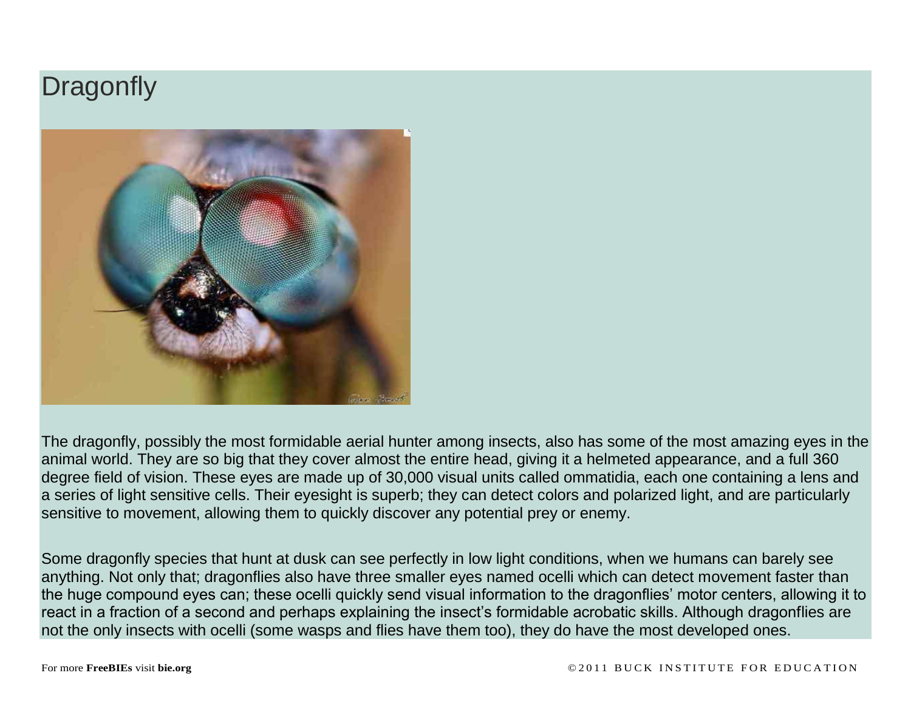# **Dragonfly**



The dragonfly, possibly the most formidable aerial hunter among insects, also has some of the most amazing eyes in the animal world. They are so big that they cover almost the entire head, giving it a helmeted appearance, and a full 360 degree field of vision. These eyes are made up of 30,000 visual units called ommatidia, each one containing a lens and a series of light sensitive cells. Their eyesight is superb; they can detect colors and polarized light, and are particularly sensitive to movement, allowing them to quickly discover any potential prey or enemy.

Some dragonfly species that hunt at dusk can see perfectly in low light conditions, when we humans can barely see anything. Not only that; dragonflies also have three smaller eyes named ocelli which can detect movement faster than the huge compound eyes can; these ocelli quickly send visual information to the dragonflies' motor centers, allowing it to react in a fraction of a second and perhaps explaining the insect's formidable acrobatic skills. Although dragonflies are not the only insects with ocelli (some wasps and flies have them too), they do have the most developed ones.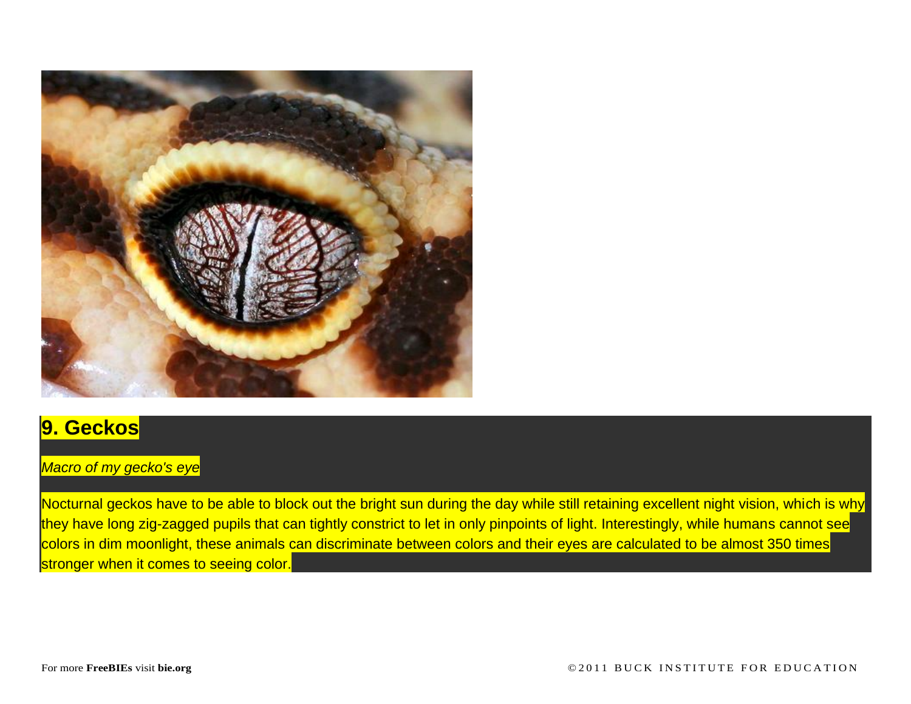

### **9. Geckos**

#### *Macro of my gecko's eye*

Nocturnal geckos have to be able to block out the bright sun during the day while still retaining excellent night vision, which is why they have long zig-zagged pupils that can tightly constrict to let in only pinpoints of light. Interestingly, while humans cannot see colors in dim moonlight, these animals can discriminate between colors and their eyes are calculated to be almost 350 times stronger when it comes to seeing color.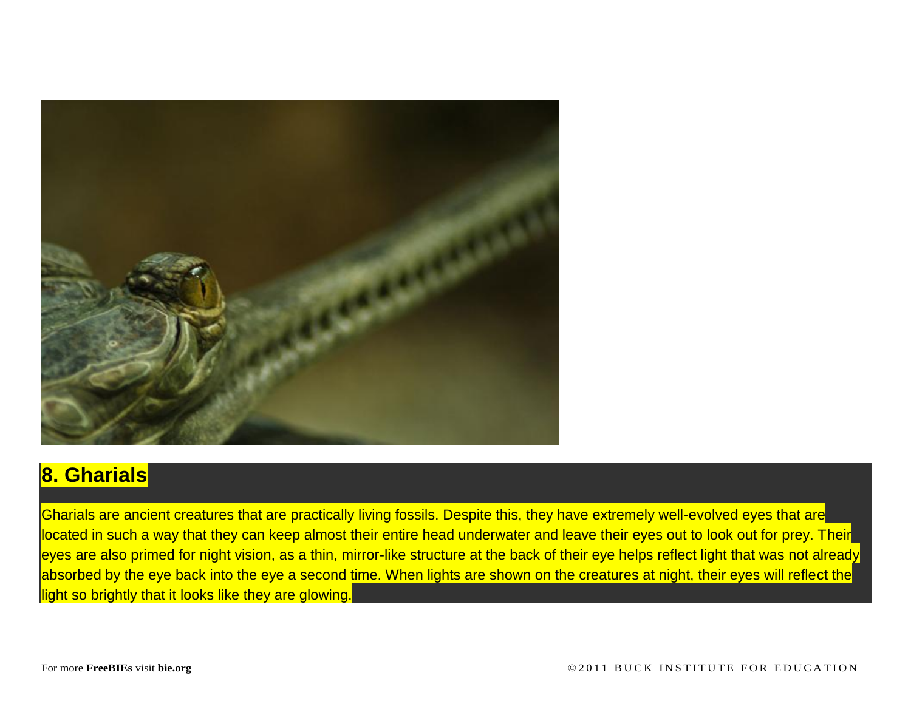

### **8. Gharials**

Gharials are ancient creatures that are practically living fossils. Despite this, they have extremely well-evolved eyes that are located in such a way that they can keep almost their entire head underwater and leave their eyes out to look out for prey. Their eyes are also primed for night vision, as a thin, mirror-like structure at the back of their eye helps reflect light that was not already absorbed by the eye back into the eye a second time. When lights are shown on the creatures at night, their eyes will reflect the light so brightly that it looks like they are glowing.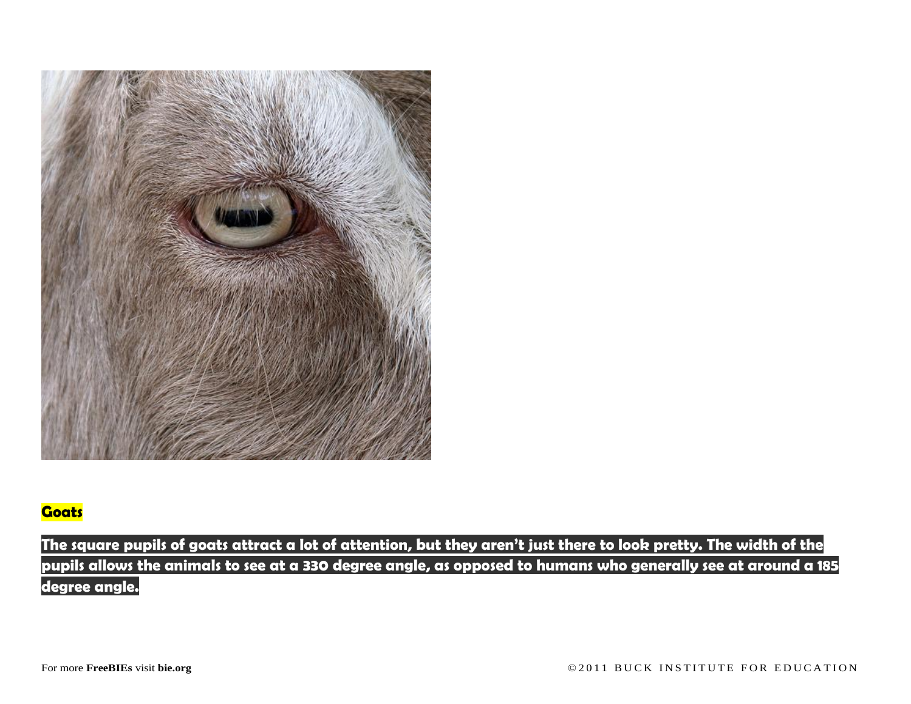

### **Goats**

**The square pupils of goats attract a lot of attention, but they aren't just there to look pretty. The width of the pupils allows the animals to see at a 330 degree angle, as opposed to humans who generally see at around a 185 degree angle.**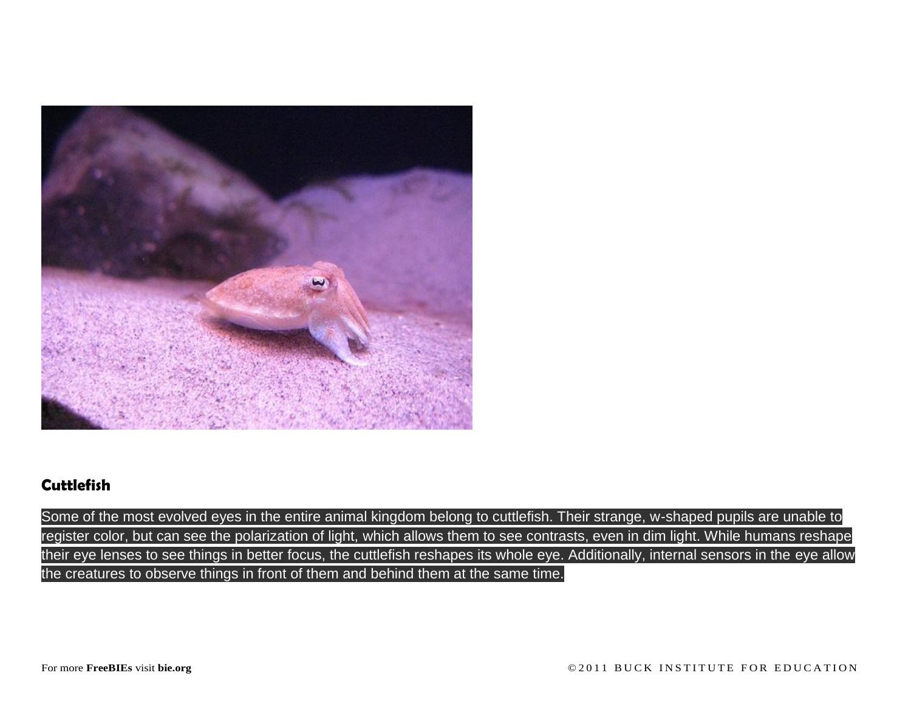

### **Cuttlefish**

Some of the most evolved eyes in the entire animal kingdom belong to cuttlefish. Their strange, w-shaped pupils are unable to register color, but can see the polarization of light, which allows them to see contrasts, even in dim light. While humans reshape their eye lenses to see things in better focus, the cuttlefish reshapes its whole eye. Additionally, internal sensors in the eye allow the creatures to observe things in front of them and behind them at the same time.